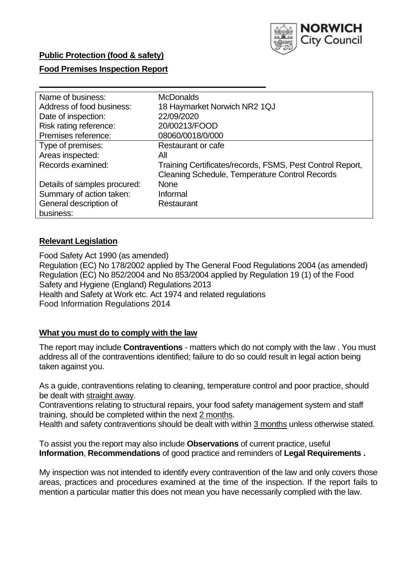

# **Public Protection (food & safety)**

# **Food Premises Inspection Report**

| Name of business:            | <b>McDonalds</b>                                          |
|------------------------------|-----------------------------------------------------------|
| Address of food business:    | 18 Haymarket Norwich NR2 1QJ                              |
| Date of inspection:          | 22/09/2020                                                |
| Risk rating reference:       | 20/00213/FOOD                                             |
| Premises reference:          | 08060/0018/0/000                                          |
| Type of premises:            | Restaurant or cafe                                        |
| Areas inspected:             | All                                                       |
| Records examined:            | Training Certificates/records, FSMS, Pest Control Report, |
|                              | <b>Cleaning Schedule, Temperature Control Records</b>     |
| Details of samples procured: | <b>None</b>                                               |
| Summary of action taken:     | Informal                                                  |
| General description of       | Restaurant                                                |
| business:                    |                                                           |

# **Relevant Legislation**

 Food Safety Act 1990 (as amended) Regulation (EC) No 178/2002 applied by The General Food Regulations 2004 (as amended) Regulation (EC) No 852/2004 and No 853/2004 applied by Regulation 19 (1) of the Food Safety and Hygiene (England) Regulations 2013 Health and Safety at Work etc. Act 1974 and related regulations Food Information Regulations 2014

## **What you must do to comply with the law**

 The report may include **Contraventions** - matters which do not comply with the law . You must address all of the contraventions identified; failure to do so could result in legal action being taken against you.

 As a guide, contraventions relating to cleaning, temperature control and poor practice, should be dealt with straight away.

 Contraventions relating to structural repairs, your food safety management system and staff training, should be completed within the next 2 months.

Health and safety contraventions should be dealt with within 3 months unless otherwise stated.

 To assist you the report may also include **Observations** of current practice, useful **Information**, **Recommendations** of good practice and reminders of **Legal Requirements .** 

 My inspection was not intended to identify every contravention of the law and only covers those areas, practices and procedures examined at the time of the inspection. If the report fails to mention a particular matter this does not mean you have necessarily complied with the law.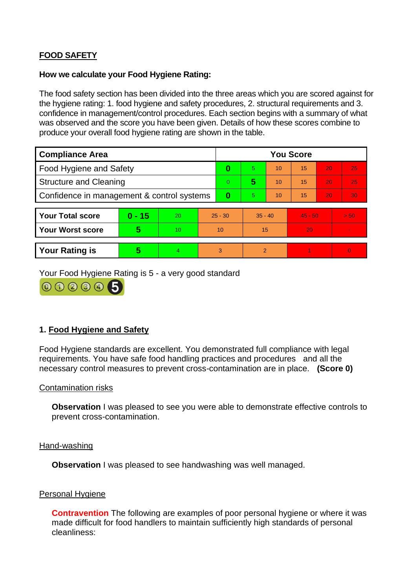# **FOOD SAFETY**

#### **How we calculate your Food Hygiene Rating:**

 The food safety section has been divided into the three areas which you are scored against for the hygiene rating: 1. food hygiene and safety procedures, 2. structural requirements and 3. confidence in management/control procedures. Each section begins with a summary of what was observed and the score you have been given. Details of how these scores combine to produce your overall food hygiene rating are shown in the table.

| <b>Compliance Area</b>                     |          |    |           | <b>You Score</b> |                |    |           |    |                |  |  |
|--------------------------------------------|----------|----|-----------|------------------|----------------|----|-----------|----|----------------|--|--|
| Food Hygiene and Safety                    |          |    | 0         | 5.               | 10             | 15 | 20        | 25 |                |  |  |
| <b>Structure and Cleaning</b>              |          |    | $\Omega$  | 5                | 10             | 15 | 20        | 25 |                |  |  |
| Confidence in management & control systems |          |    | 0         | 5                | 10             | 15 | 20        | 30 |                |  |  |
|                                            |          |    |           |                  |                |    |           |    |                |  |  |
| <b>Your Total score</b>                    | $0 - 15$ | 20 | $25 - 30$ |                  | $35 - 40$      |    | $45 - 50$ |    | > 50           |  |  |
| Your Worst score                           | 5        | 10 | 10        |                  | 15             |    | 20        |    | $\blacksquare$ |  |  |
|                                            |          |    |           |                  |                |    |           |    |                |  |  |
| <b>Your Rating is</b>                      | 5        | 4  | 3         |                  | $\overline{2}$ |    |           |    | $\Omega$       |  |  |

Your Food Hygiene Rating is 5 - a very good standard



# **1. Food Hygiene and Safety**

 requirements. You have safe food handling practices and procedures and all the Food Hygiene standards are excellent. You demonstrated full compliance with legal necessary control measures to prevent cross-contamination are in place. **(Score 0)** 

#### Contamination risks

**Observation** I was pleased to see you were able to demonstrate effective controls to prevent cross-contamination.

#### Hand-washing

**Observation** I was pleased to see handwashing was well managed.

## Personal Hygiene

 made difficult for food handlers to maintain sufficiently high standards of personal **Contravention** The following are examples of poor personal hygiene or where it was cleanliness: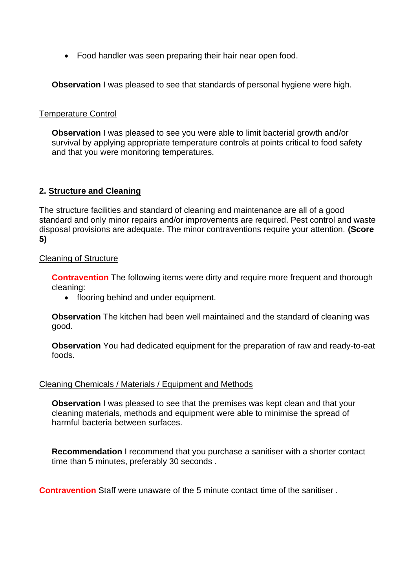• Food handler was seen preparing their hair near open food.

**Observation** I was pleased to see that standards of personal hygiene were high.

#### Temperature Control

**Observation I** was pleased to see you were able to limit bacterial growth and/or survival by applying appropriate temperature controls at points critical to food safety and that you were monitoring temperatures.

## **2. Structure and Cleaning**

 The structure facilities and standard of cleaning and maintenance are all of a good standard and only minor repairs and/or improvements are required. Pest control and waste disposal provisions are adequate. The minor contraventions require your attention. **(Score 5)** 

#### Cleaning of Structure

**Contravention** The following items were dirty and require more frequent and thorough cleaning:

• flooring behind and under equipment.

 **Observation** The kitchen had been well maintained and the standard of cleaning was good.

**Observation** You had dedicated equipment for the preparation of raw and ready-to-eat foods.

#### Cleaning Chemicals / Materials / Equipment and Methods

**Observation** I was pleased to see that the premises was kept clean and that your cleaning materials, methods and equipment were able to minimise the spread of harmful bacteria between surfaces.

 **Recommendation** I recommend that you purchase a sanitiser with a shorter contact time than 5 minutes, preferably 30 seconds .

**Contravention** Staff were unaware of the 5 minute contact time of the sanitiser .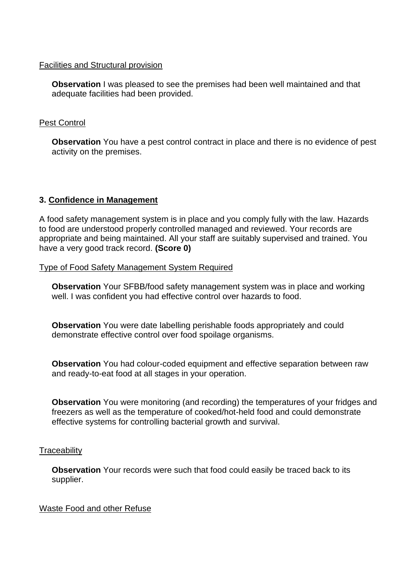#### Facilities and Structural provision

 **Observation** I was pleased to see the premises had been well maintained and that adequate facilities had been provided.

# Pest Control

 **Observation** You have a pest control contract in place and there is no evidence of pest activity on the premises.

# **3. Confidence in Management**

 appropriate and being maintained. All your staff are suitably supervised and trained. You A food safety management system is in place and you comply fully with the law. Hazards to food are understood properly controlled managed and reviewed. Your records are have a very good track record. **(Score 0)** 

Type of Food Safety Management System Required

**Observation** Your SFBB/food safety management system was in place and working well. I was confident you had effective control over hazards to food.

 demonstrate effective control over food spoilage organisms. **Observation** You were date labelling perishable foods appropriately and could

**Observation** You had colour-coded equipment and effective separation between raw and ready-to-eat food at all stages in your operation.

**Observation** You were monitoring (and recording) the temperatures of your fridges and freezers as well as the temperature of cooked/hot-held food and could demonstrate effective systems for controlling bacterial growth and survival.

## **Traceability**

**Observation** Your records were such that food could easily be traced back to its supplier.

## Waste Food and other Refuse